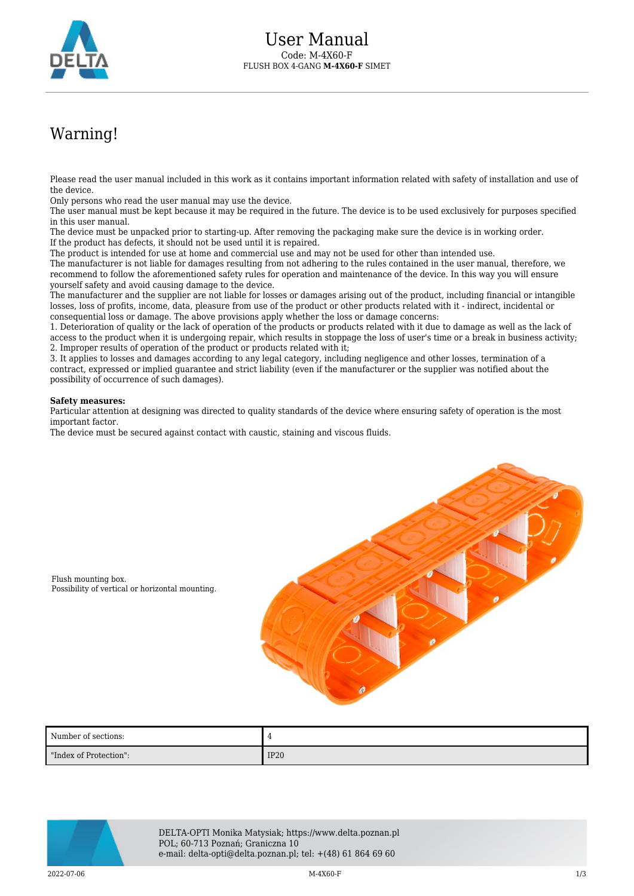

## Warning!

Please read the user manual included in this work as it contains important information related with safety of installation and use of the device.

Only persons who read the user manual may use the device.

The user manual must be kept because it may be required in the future. The device is to be used exclusively for purposes specified in this user manual.

The device must be unpacked prior to starting-up. After removing the packaging make sure the device is in working order. If the product has defects, it should not be used until it is repaired.

The product is intended for use at home and commercial use and may not be used for other than intended use.

The manufacturer is not liable for damages resulting from not adhering to the rules contained in the user manual, therefore, we recommend to follow the aforementioned safety rules for operation and maintenance of the device. In this way you will ensure yourself safety and avoid causing damage to the device.

The manufacturer and the supplier are not liable for losses or damages arising out of the product, including financial or intangible losses, loss of profits, income, data, pleasure from use of the product or other products related with it - indirect, incidental or consequential loss or damage. The above provisions apply whether the loss or damage concerns:

1. Deterioration of quality or the lack of operation of the products or products related with it due to damage as well as the lack of access to the product when it is undergoing repair, which results in stoppage the loss of user's time or a break in business activity; 2. Improper results of operation of the product or products related with it;

3. It applies to losses and damages according to any legal category, including negligence and other losses, termination of a contract, expressed or implied guarantee and strict liability (even if the manufacturer or the supplier was notified about the possibility of occurrence of such damages).

## **Safety measures:**

Particular attention at designing was directed to quality standards of the device where ensuring safety of operation is the most important factor.

The device must be secured against contact with caustic, staining and viscous fluids.



Flush mounting box. Possibility of vertical or horizontal mounting.

| Number of sections:    | 4    |
|------------------------|------|
| "Index of Protection": | IP20 |



DELTA-OPTI Monika Matysiak; https://www.delta.poznan.pl POL; 60-713 Poznań; Graniczna 10 e-mail: delta-opti@delta.poznan.pl; tel: +(48) 61 864 69 60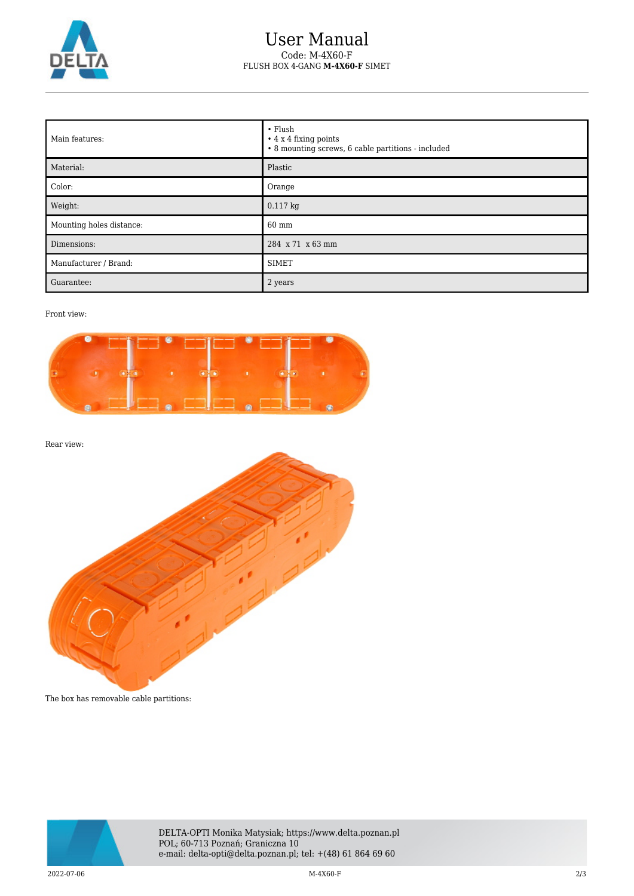

## User Manual Code: M-4X60-F FLUSH BOX 4-GANG **M-4X60-F** SIMET

| Main features:           | $\cdot$ Flush<br>$\cdot$ 4 x 4 fixing points<br>• 8 mounting screws, 6 cable partitions - included |
|--------------------------|----------------------------------------------------------------------------------------------------|
| Material:                | Plastic                                                                                            |
| Color:                   | Orange                                                                                             |
| Weight:                  | $0.117$ kg                                                                                         |
| Mounting holes distance: | 60 mm                                                                                              |
| Dimensions:              | 284 x 71 x 63 mm                                                                                   |
| Manufacturer / Brand:    | <b>SIMET</b>                                                                                       |
| Guarantee:               | 2 years                                                                                            |

## Front view:



Rear view:



The box has removable cable partitions:



DELTA-OPTI Monika Matysiak; https://www.delta.poznan.pl POL; 60-713 Poznań; Graniczna 10 e-mail: delta-opti@delta.poznan.pl; tel: +(48) 61 864 69 60

2022-07-06 M-4X60-F 2/3